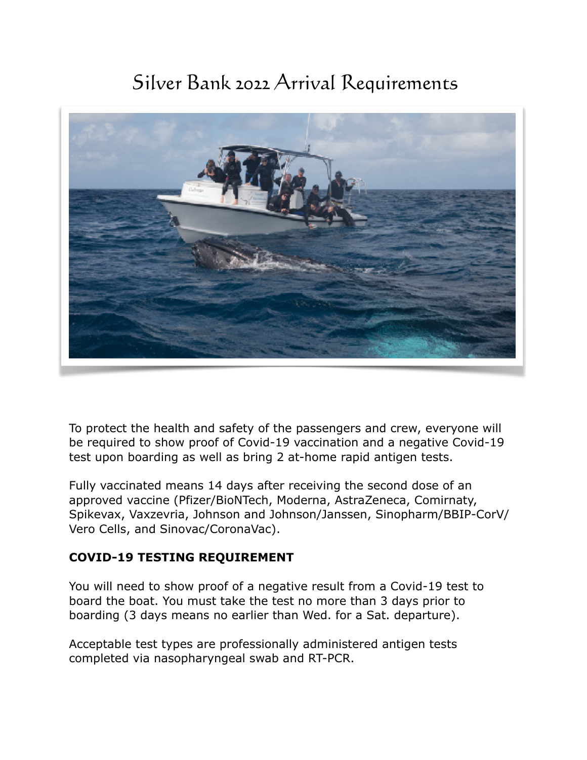# Silver Bank 2022 Arrival Requirements



To protect the health and safety of the passengers and crew, everyone will be required to show proof of Covid-19 vaccination and a negative Covid-19 test upon boarding as well as bring 2 at-home rapid antigen tests.

Fully vaccinated means 14 days after receiving the second dose of an approved vaccine (Pfizer/BioNTech, Moderna, AstraZeneca, Comirnaty, Spikevax, Vaxzevria, Johnson and Johnson/Janssen, Sinopharm/BBIP-CorV/ Vero Cells, and Sinovac/CoronaVac).

# **COVID-19 TESTING REQUIREMENT**

You will need to show proof of a negative result from a Covid-19 test to board the boat. You must take the test no more than 3 days prior to boarding (3 days means no earlier than Wed. for a Sat. departure).

Acceptable test types are professionally administered antigen tests completed via nasopharyngeal swab and RT-PCR.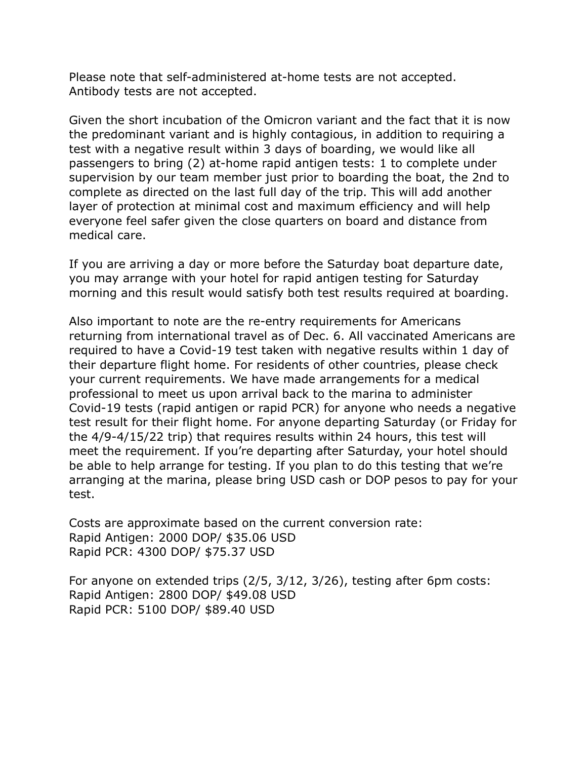Please note that self-administered at-home tests are not accepted. Antibody tests are not accepted.

Given the short incubation of the Omicron variant and the fact that it is now the predominant variant and is highly contagious, in addition to requiring a test with a negative result within 3 days of boarding, we would like all passengers to bring (2) at-home rapid antigen tests: 1 to complete under supervision by our team member just prior to boarding the boat, the 2nd to complete as directed on the last full day of the trip. This will add another layer of protection at minimal cost and maximum efficiency and will help everyone feel safer given the close quarters on board and distance from medical care.

If you are arriving a day or more before the Saturday boat departure date, you may arrange with your hotel for rapid antigen testing for Saturday morning and this result would satisfy both test results required at boarding.

Also important to note are the re-entry requirements for Americans returning from international travel as of Dec. 6. All vaccinated Americans are required to have a Covid-19 test taken with negative results within 1 day of their departure flight home. For residents of other countries, please check your current requirements. We have made arrangements for a medical professional to meet us upon arrival back to the marina to administer Covid-19 tests (rapid antigen or rapid PCR) for anyone who needs a negative test result for their flight home. For anyone departing Saturday (or Friday for the 4/9-4/15/22 trip) that requires results within 24 hours, this test will meet the requirement. If you're departing after Saturday, your hotel should be able to help arrange for testing. If you plan to do this testing that we're arranging at the marina, please bring USD cash or DOP pesos to pay for your test.

Costs are approximate based on the current conversion rate: Rapid Antigen: 2000 DOP/ \$35.06 USD Rapid PCR: 4300 DOP/ \$75.37 USD

For anyone on extended trips (2/5, 3/12, 3/26), testing after 6pm costs: Rapid Antigen: 2800 DOP/ \$49.08 USD Rapid PCR: 5100 DOP/ \$89.40 USD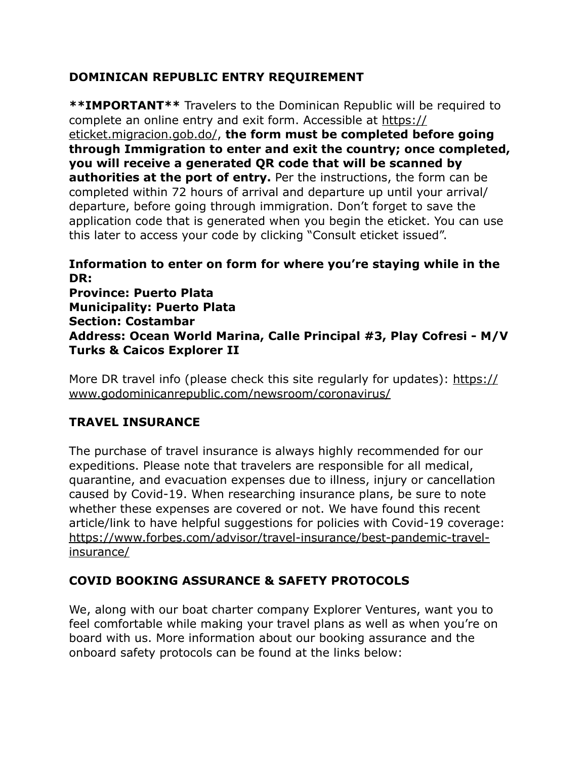# **DOMINICAN REPUBLIC ENTRY REQUIREMENT**

**\*\*IMPORTANT\*\*** Travelers to the Dominican Republic will be required to complete an online entry and exit form. Accessible at [https://](https://eticket.migracion.gob.do/) [eticket.migracion.gob.do/,](https://eticket.migracion.gob.do/) **the form must be completed before going through Immigration to enter and exit the country; once completed, you will receive a generated QR code that will be scanned by authorities at the port of entry.** Per the instructions, the form can be completed within 72 hours of arrival and departure up until your arrival/ departure, before going through immigration. Don't forget to save the application code that is generated when you begin the eticket. You can use this later to access your code by clicking "Consult eticket issued".

**Information to enter on form for where you're staying while in the DR: Province: Puerto Plata Municipality: Puerto Plata Section: Costambar Address: Ocean World Marina, Calle Principal #3, Play Cofresi - M/V Turks & Caicos Explorer II** 

More DR travel info (please check this site regularly for updates): [https://](https://www.godominicanrepublic.com/newsroom/coronavirus/) [www.godominicanrepublic.com/newsroom/coronavirus/](https://www.godominicanrepublic.com/newsroom/coronavirus/)

# **TRAVEL INSURANCE**

The purchase of travel insurance is always highly recommended for our expeditions. Please note that travelers are responsible for all medical, quarantine, and evacuation expenses due to illness, injury or cancellation caused by Covid-19. When researching insurance plans, be sure to note whether these expenses are covered or not. We have found this recent article/link to have helpful suggestions for policies with Covid-19 coverage: [https://www.forbes.com/advisor/travel-insurance/best-pandemic-travel](https://www.forbes.com/advisor/travel-insurance/best-pandemic-travel-insurance/)[insurance/](https://www.forbes.com/advisor/travel-insurance/best-pandemic-travel-insurance/)

# **COVID BOOKING ASSURANCE & SAFETY PROTOCOLS**

We, along with our boat charter company Explorer Ventures, want you to feel comfortable while making your travel plans as well as when you're on board with us. More information about our booking assurance and the onboard safety protocols can be found at the links below: